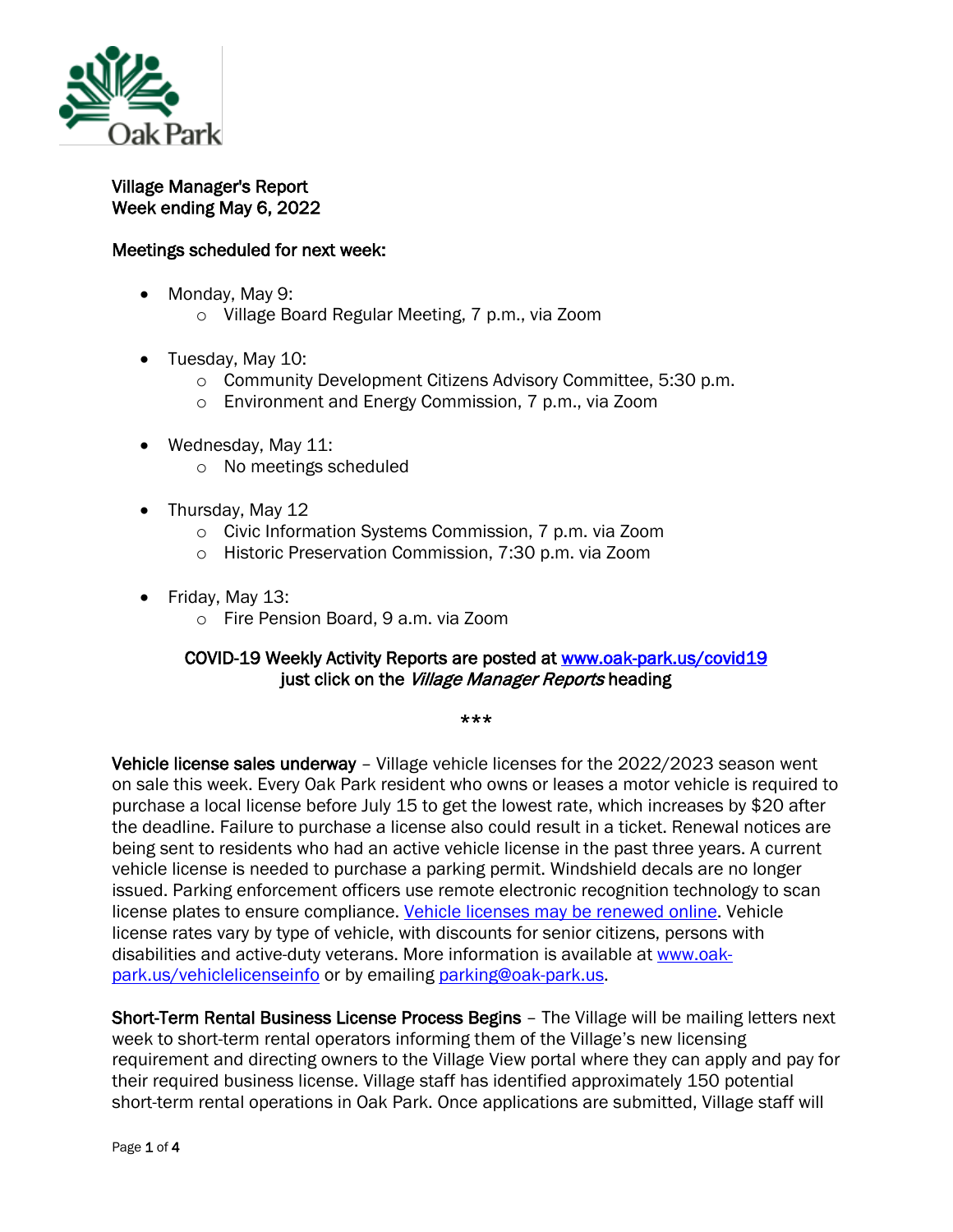

## Village Manager's Report Week ending May 6, 2022

## Meetings scheduled for next week:

- Monday, May 9:
	- o Village Board Regular Meeting, 7 p.m., via Zoom
- Tuesday, May 10:
	- o Community Development Citizens Advisory Committee, 5:30 p.m.
	- o Environment and Energy Commission, 7 p.m., via Zoom
- Wednesday, May 11:
	- o No meetings scheduled
- Thursday, May 12
	- o Civic Information Systems Commission, 7 p.m. via Zoom
	- o Historic Preservation Commission, 7:30 p.m. via Zoom
- Friday, May 13:
	- o Fire Pension Board, 9 a.m. via Zoom

## COVID-19 Weekly Activity Reports are posted at [www.oak-park.us/covid19](http://www.oak-park.us/covid19)  just click on the Village Manager Reports heading

\*\*\*

Vehicle license sales underway – Village vehicle licenses for the 2022/2023 season went on sale this week. Every Oak Park resident who owns or leases a motor vehicle is required to purchase a local license before July 15 to get the lowest rate, which increases by \$20 after the deadline. Failure to purchase a license also could result in a ticket. Renewal notices are being sent to residents who had an active vehicle license in the past three years. A current vehicle license is needed to purchase a parking permit. Windshield decals are no longer issued. Parking enforcement officers use remote electronic recognition technology to scan license plates to ensure compliance. [Vehicle licenses may be renewed online.](https://r20.rs6.net/tn.jsp?f=001Tv9e9K9oUsN6tyPNHk1jytvwjgCiHpPYc-y9wEN_0Of3IqX3igwEgZnEk75MQF31PDOSiiWLfYEgHVPYgCq7Sgo1i4fCSIkIDoS1cYC0xudZt-ECnT9qh2D3-twhfG54KD3ufYYlwvDtHRH6B9wF4vlgx_iArzgyv7toXG7AYxQ=&c=PW3stDZ0aC_wCpsSkQdPdJgAickwxzB3X7gi8EFGKLBVnyfAcdKiFQ==&ch=6m2WQ74Lp4mhgJ_TCdhCMNyQqmp0-0cKanQwN7wYIzLcARcpr89Q-g==) Vehicle license rates vary by type of vehicle, with discounts for senior citizens, persons with disabilities and active-duty veterans. More information is available at [www.oak](https://r20.rs6.net/tn.jsp?f=001Tv9e9K9oUsN6tyPNHk1jytvwjgCiHpPYc-y9wEN_0Of3IqX3igwEgflg_oJGs0XbclXCMQ73qO3csKl9UdTmDt2K70iAM4AxWFdAIaMC1YYkoTKnD9xX9ipyEOjHAmkc8scExuvP4O76MkGBu5j6WxTvln565cZoDaMt2wj6-j4IkpZQrtBmmBD7gYJQeLkqLh7fDSlUuE0=&c=PW3stDZ0aC_wCpsSkQdPdJgAickwxzB3X7gi8EFGKLBVnyfAcdKiFQ==&ch=6m2WQ74Lp4mhgJ_TCdhCMNyQqmp0-0cKanQwN7wYIzLcARcpr89Q-g==)[park.us/vehiclelicenseinfo](https://r20.rs6.net/tn.jsp?f=001Tv9e9K9oUsN6tyPNHk1jytvwjgCiHpPYc-y9wEN_0Of3IqX3igwEgflg_oJGs0XbclXCMQ73qO3csKl9UdTmDt2K70iAM4AxWFdAIaMC1YYkoTKnD9xX9ipyEOjHAmkc8scExuvP4O76MkGBu5j6WxTvln565cZoDaMt2wj6-j4IkpZQrtBmmBD7gYJQeLkqLh7fDSlUuE0=&c=PW3stDZ0aC_wCpsSkQdPdJgAickwxzB3X7gi8EFGKLBVnyfAcdKiFQ==&ch=6m2WQ74Lp4mhgJ_TCdhCMNyQqmp0-0cKanQwN7wYIzLcARcpr89Q-g==) or by emailing [parking@oak-park.us.](mailto:parking@oak-park.us)

Short-Term Rental Business License Process Begins - The Village will be mailing letters next week to short-term rental operators informing them of the Village's new licensing requirement and directing owners to the Village View portal where they can apply and pay for their required business license. Village staff has identified approximately 150 potential short-term rental operations in Oak Park. Once applications are submitted, Village staff will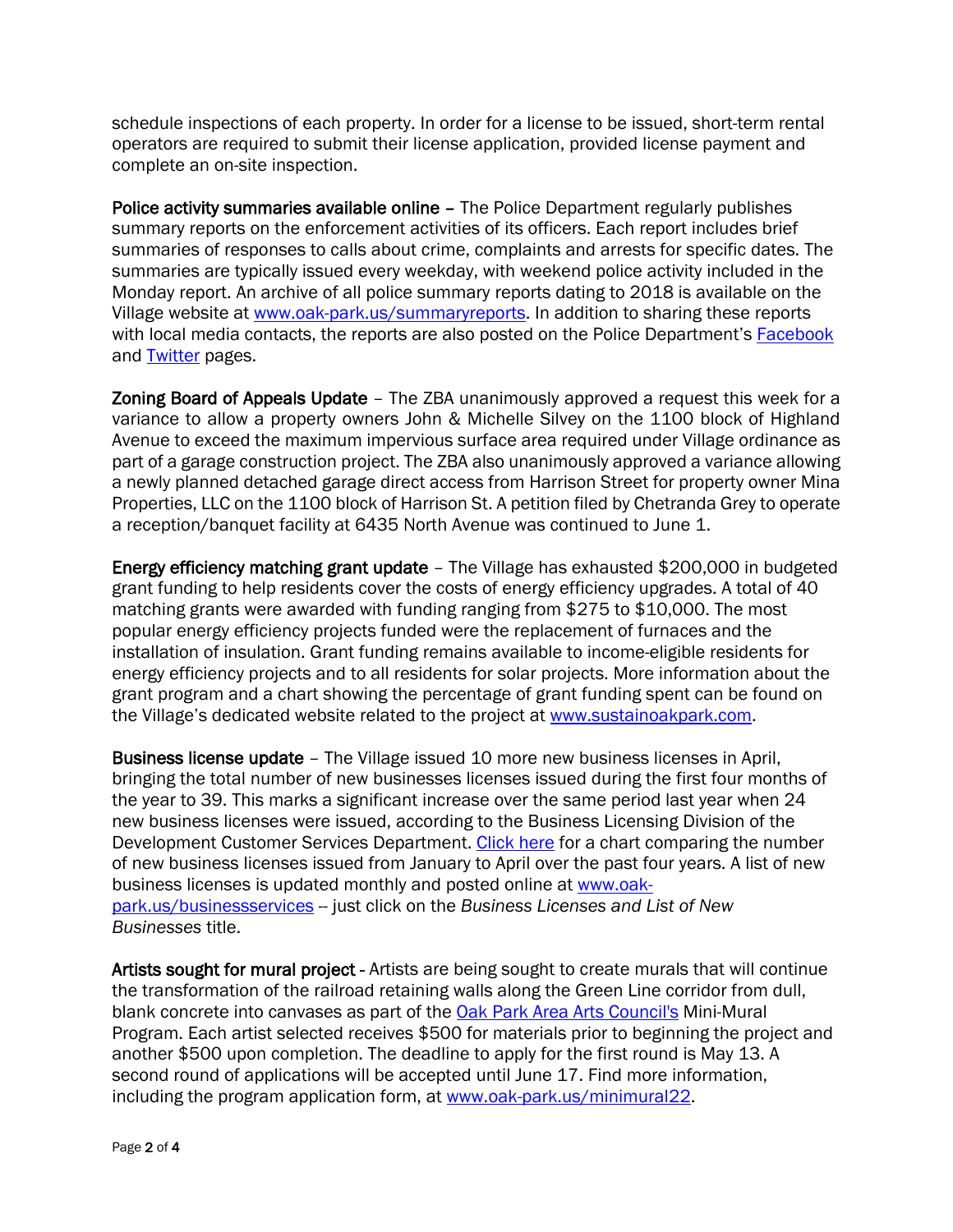schedule inspections of each property. In order for a license to be issued, short-term rental operators are required to submit their license application, provided license payment and complete an on-site inspection.

Police activity summaries available online – The Police Department regularly publishes summary reports on the enforcement activities of its officers. Each report includes brief summaries of responses to calls about crime, complaints and arrests for specific dates. The summaries are typically issued every weekday, with weekend police activity included in the Monday report. An archive of all police summary reports dating to 2018 is available on the Village website at [www.oak-park.us/summaryreports.](http://www.oak-park.us/summaryreports) In addition to sharing these reports with local media contacts, the reports are also posted on the Police Department's [Facebook](http://www.facebook.com/voppolice) and [Twitter](http://www.twitter.com/voppolice) pages.

Zoning Board of Appeals Update – The ZBA unanimously approved a request this week for a variance to allow a property owners John & Michelle Silvey on the 1100 block of Highland Avenue to exceed the maximum impervious surface area required under Village ordinance as part of a garage construction project. The ZBA also unanimously approved a variance allowing a newly planned detached garage direct access from Harrison Street for property owner Mina Properties, LLC on the 1100 block of Harrison St. A petition filed by Chetranda Grey to operate a reception/banquet facility at 6435 North Avenue was continued to June 1.

Energy efficiency matching grant update – The Village has exhausted \$200,000 in budgeted grant funding to help residents cover the costs of energy efficiency upgrades. A total of 40 matching grants were awarded with funding ranging from \$275 to \$10,000. The most popular energy efficiency projects funded were the replacement of furnaces and the installation of insulation. Grant funding remains available to income-eligible residents for energy efficiency projects and to all residents for solar projects. More information about the grant program and a chart showing the percentage of grant funding spent can be found on the Village's dedicated website related to the project at [www.sustainoakpark.com.](http://www.sustainoakpark.com/)

Business license update – The Village issued 10 more new business licenses in April, bringing the total number of new businesses licenses issued during the first four months of the year to 39. This marks a significant increase over the same period last year when 24 new business licenses were issued, according to the Business Licensing Division of the Development Customer Services Department. [Click here](https://www.oak-park.us/sites/default/files/development/2022-05-new-business-chart.pdf) for a chart comparing the number of new business licenses issued from January to April over the past four years. A list of new business licenses is updated monthly and posted online at [www.oak](http://www.oak-park.us/businessservices)[park.us/businessservices](http://www.oak-park.us/businessservices) -- just click on the *Business Licenses and List of New Businesses* title.

Artists sought for mural project - Artists are being sought to create murals that will continue the transformation of the railroad retaining walls along the Green Line corridor from dull, blank concrete into canvases as part of the [Oak Park Area Arts Council's](https://r20.rs6.net/tn.jsp?f=001Tv9e9K9oUsN6tyPNHk1jytvwjgCiHpPYc-y9wEN_0Of3IqX3igwEgflg_oJGs0XbzRAGkGYIhmD1Gyb-r6ecRcpARpnPQFm_gNacY0t_TDQmozpgzCs9QKVT7jjLMzfce7bZ-Z8KRPm0lhSFYcBE29nL6ilP5ERh&c=PW3stDZ0aC_wCpsSkQdPdJgAickwxzB3X7gi8EFGKLBVnyfAcdKiFQ==&ch=6m2WQ74Lp4mhgJ_TCdhCMNyQqmp0-0cKanQwN7wYIzLcARcpr89Q-g==) Mini-Mural Program. Each artist selected receives \$500 for materials prior to beginning the project and another \$500 upon completion. The deadline to apply for the first round is May 13. A second round of applications will be accepted until June 17. Find more information, including the program application form, at [www.oak-park.us/minimural22.](https://r20.rs6.net/tn.jsp?f=001Tv9e9K9oUsN6tyPNHk1jytvwjgCiHpPYc-y9wEN_0Of3IqX3igwEgflg_oJGs0XbGbF_LsmuBFPPIYmPI8bMCD74VcJneZCrLRO4mVQB1i9q6u4vfuhkLCjKVxk7T5H1vsWCM4kuzySHEwE_oxScbQ-hTawzFMk_&c=PW3stDZ0aC_wCpsSkQdPdJgAickwxzB3X7gi8EFGKLBVnyfAcdKiFQ==&ch=6m2WQ74Lp4mhgJ_TCdhCMNyQqmp0-0cKanQwN7wYIzLcARcpr89Q-g==)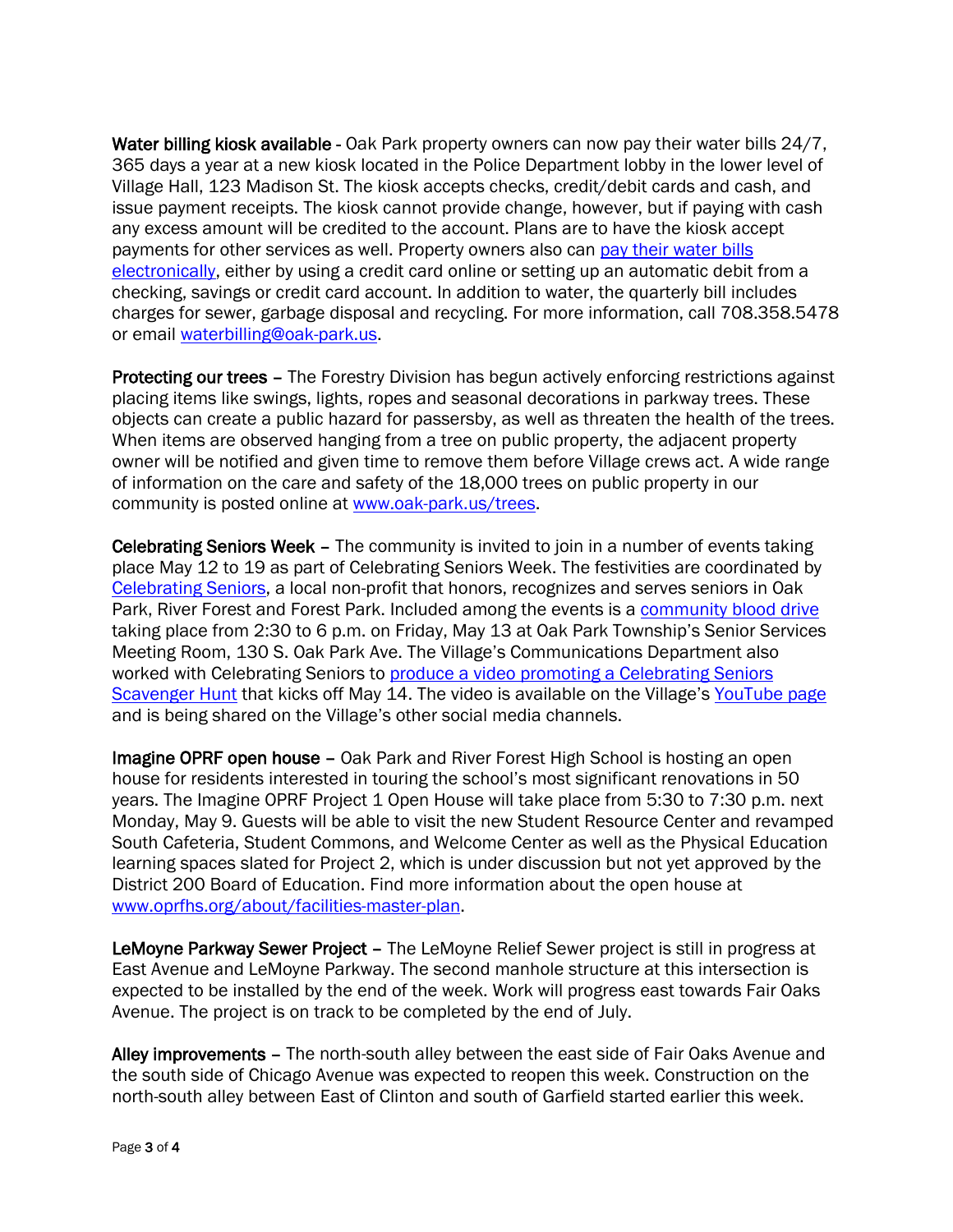Water billing kiosk available - Oak Park property owners can now pay their water bills 24/7, 365 days a year at a new kiosk located in the Police Department lobby in the lower level of Village Hall, 123 Madison St. The kiosk accepts checks, credit/debit cards and cash, and issue payment receipts. The kiosk cannot provide change, however, but if paying with cash any excess amount will be credited to the account. Plans are to have the kiosk accept payments for other services as well. Property owners also can [pay their water bills](https://r20.rs6.net/tn.jsp?f=001Tv9e9K9oUsN6tyPNHk1jytvwjgCiHpPYc-y9wEN_0Of3IqX3igwEgflg_oJGs0Xbf4Smy5lY8OZbwyeu_iWwV6M5nGxPxiNAxe9AGXybnPXb_YXOQ9JL9M0GQQ8MPlQ-v8LojA2mzxmyGtG1iTeUA3IVbck2yVgTV9t9zlEip9MfP4-vzcfHHLyJ9CwlR9-tcKohsWtgQOFX_5JHizW19D6OQ40ooUcCf6_NVniYXRU0yXhDdhgLgrzhSONZkebgW2z0GCTQ46mJ9Q7qU3dv4RxXbJl4IY4B&c=PW3stDZ0aC_wCpsSkQdPdJgAickwxzB3X7gi8EFGKLBVnyfAcdKiFQ==&ch=6m2WQ74Lp4mhgJ_TCdhCMNyQqmp0-0cKanQwN7wYIzLcARcpr89Q-g==)  [electronically,](https://r20.rs6.net/tn.jsp?f=001Tv9e9K9oUsN6tyPNHk1jytvwjgCiHpPYc-y9wEN_0Of3IqX3igwEgflg_oJGs0Xbf4Smy5lY8OZbwyeu_iWwV6M5nGxPxiNAxe9AGXybnPXb_YXOQ9JL9M0GQQ8MPlQ-v8LojA2mzxmyGtG1iTeUA3IVbck2yVgTV9t9zlEip9MfP4-vzcfHHLyJ9CwlR9-tcKohsWtgQOFX_5JHizW19D6OQ40ooUcCf6_NVniYXRU0yXhDdhgLgrzhSONZkebgW2z0GCTQ46mJ9Q7qU3dv4RxXbJl4IY4B&c=PW3stDZ0aC_wCpsSkQdPdJgAickwxzB3X7gi8EFGKLBVnyfAcdKiFQ==&ch=6m2WQ74Lp4mhgJ_TCdhCMNyQqmp0-0cKanQwN7wYIzLcARcpr89Q-g==) either by using a credit card online or setting up an automatic debit from a checking, savings or credit card account. In addition to water, the quarterly bill includes charges for sewer, garbage disposal and recycling. For more information, call 708.358.5478 or email [waterbilling@oak-park.us.](mailto:waterbilling@oak-park.us)

Protecting our trees - The Forestry Division has begun actively enforcing restrictions against placing items like swings, lights, ropes and seasonal decorations in parkway trees. These objects can create a public hazard for passersby, as well as threaten the health of the trees. When items are observed hanging from a tree on public property, the adjacent property owner will be notified and given time to remove them before Village crews act. A wide range of information on the care and safety of the 18,000 trees on public property in our community is posted online at [www.oak-park.us/trees.](http://www.oak-park.us/trees)

Celebrating Seniors Week – The community is invited to join in a number of events taking place May 12 to 19 as part of Celebrating Seniors Week. The festivities are coordinated by [Celebrating Seniors,](https://www.oprfhs.org/about/facilities-master-plan) a local non-profit that honors, recognizes and serves seniors in Oak Park, River Forest and Forest Park. Included among the events is a [community blood drive](https://www.oak-park.us/sites/default/files/community_blood_drive_5_13_2022_002_edited.jpg) taking place from 2:30 to 6 p.m. on Friday, May 13 at Oak Park Township's Senior Services Meeting Room, 130 S. Oak Park Ave. The Village's Communications Department also worked with Celebrating Seniors to [produce a video promoting a Celebrating Seniors](https://youtu.be/-8mpxGQPkBs)  [Scavenger Hunt](https://youtu.be/-8mpxGQPkBs) that kicks off May 14. The video is available on the Village's [YouTube page](https://www.youtube.com/user/vopnews) and is being shared on the Village's other social media channels.

Imagine OPRF open house – Oak Park and River Forest High School is hosting an open house for residents interested in touring the school's most significant renovations in 50 years. The Imagine OPRF Project 1 Open House will take place from 5:30 to 7:30 p.m. next Monday, May 9. Guests will be able to visit the new Student Resource Center and revamped South Cafeteria, Student Commons, and Welcome Center as well as the Physical Education learning spaces slated for Project 2, which is under discussion but not yet approved by the District 200 Board of Education. Find more information about the open house at [www.oprfhs.org/about/facilities-master-plan.](http://www.oprfhs.org/about/facilities-master-plan)

LeMoyne Parkway Sewer Project - The LeMoyne Relief Sewer project is still in progress at East Avenue and LeMoyne Parkway. The second manhole structure at this intersection is expected to be installed by the end of the week. Work will progress east towards Fair Oaks Avenue. The project is on track to be completed by the end of July.

Alley improvements – The north-south alley between the east side of Fair Oaks Avenue and the south side of Chicago Avenue was expected to reopen this week. Construction on the north-south alley between East of Clinton and south of Garfield started earlier this week.